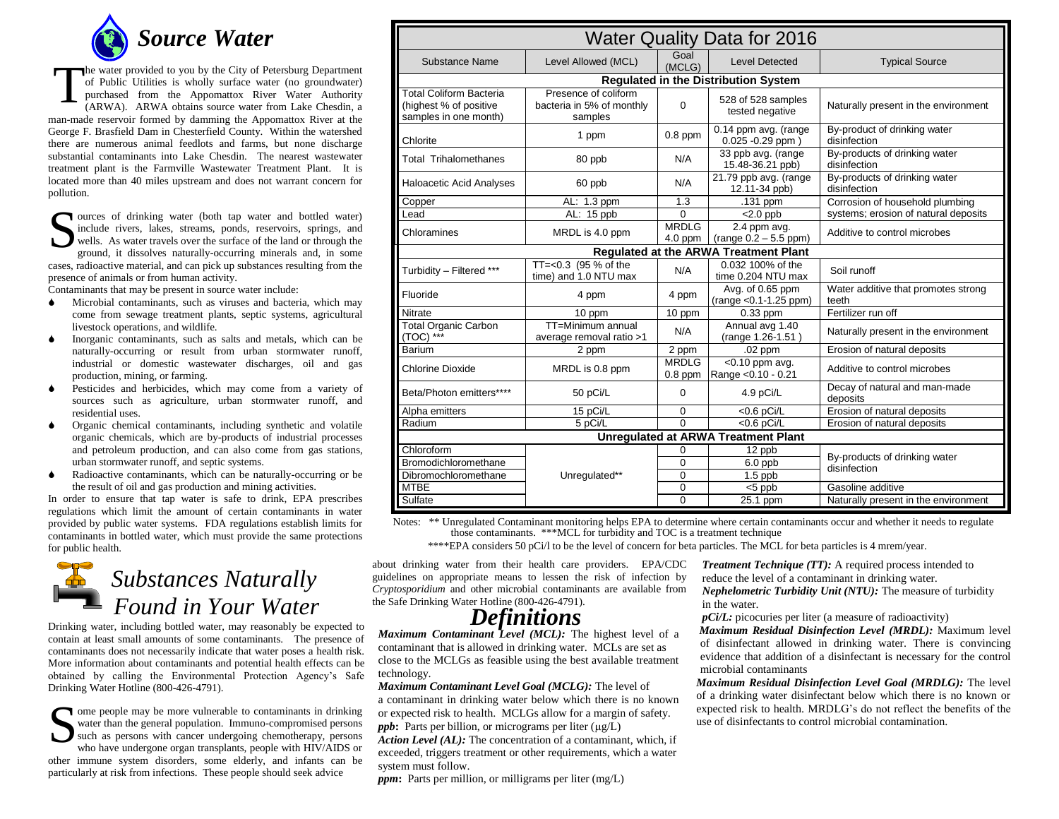

he water provided to you by the City of Petersburg Department of Public Utilities is wholly surface water (no groundwater) purchased from the Appomattox River Water Authority (ARWA). ARWA obtains source water from Lake Chesdin, a man-made reservoir formed by damming the Appomattox River at the George F. Brasfield Dam in Chesterfield County. Within the watershed there are numerous animal feedlots and farms, but none discharge substantial contaminants into Lake Chesdin. The nearest wastewater treatment plant is the Farmville Wastewater Treatment Plant. It is located more than 40 miles upstream and does not warrant concern for pollution. T

Sources of drinking water (both tap water and bottled water) include rivers, lakes, streams, ponds, reservoirs, springs, and wells. As water travels over the surface of the land or through the ground, it dissolves naturall include rivers, lakes, streams, ponds, reservoirs, springs, and wells. As water travels over the surface of the land or through the ground, it dissolves naturally-occurring minerals and, in some cases, radioactive material, and can pick up substances resulting from the presence of animals or from human activity.

Contaminants that may be present in source water include:

- Microbial contaminants, such as viruses and bacteria, which may come from sewage treatment plants, septic systems, agricultural livestock operations, and wildlife.
- Inorganic contaminants, such as salts and metals, which can be naturally-occurring or result from urban stormwater runoff, industrial or domestic wastewater discharges, oil and gas production, mining, or farming.
- Pesticides and herbicides, which may come from a variety of sources such as agriculture, urban stormwater runoff, and residential uses.
- Organic chemical contaminants, including synthetic and volatile organic chemicals, which are by-products of industrial processes and petroleum production, and can also come from gas stations, urban stormwater runoff, and septic systems.
- Radioactive contaminants, which can be naturally-occurring or be the result of oil and gas production and mining activities.

In order to ensure that tap water is safe to drink, EPA prescribes regulations which limit the amount of certain contaminants in water provided by public water systems. FDA regulations establish limits for contaminants in bottled water, which must provide the same protections for public health.



Drinking water, including bottled water, may reasonably be expected to contain at least small amounts of some contaminants. The presence of contaminants does not necessarily indicate that water poses a health risk. More information about contaminants and potential health effects can be obtained by calling the Environmental Protection Agency's Safe Drinking Water Hotline (800-426-4791).

Ome people may be more vulnerable to contaminants in drinking<br>water than the general population. Immuno-compromised persons<br>such as persons with cancer undergoing chemotherapy, persons<br>who have undergone organ transplants, water than the general population. Immuno-compromised persons such as persons with cancer undergoing chemotherapy, persons who have undergone organ transplants, people with HIV/AIDS or other immune system disorders, some elderly, and infants can be particularly at risk from infections. These people should seek advice

| <b>Water Quality Data for 2016</b>                                                |                                                              |                           |                                               |                                               |
|-----------------------------------------------------------------------------------|--------------------------------------------------------------|---------------------------|-----------------------------------------------|-----------------------------------------------|
| Substance Name                                                                    | Level Allowed (MCL)                                          | Goal<br>(MCLG)            | <b>Level Detected</b>                         | <b>Typical Source</b>                         |
| <b>Regulated in the Distribution System</b>                                       |                                                              |                           |                                               |                                               |
| <b>Total Coliform Bacteria</b><br>(highest % of positive<br>samples in one month) | Presence of coliform<br>bacteria in 5% of monthly<br>samples | $\Omega$                  | 528 of 528 samples<br>tested negative         | Naturally present in the environment          |
| Chlorite                                                                          | 1 ppm                                                        | $0.8$ ppm                 | 0.14 ppm avg. (range<br>$0.025 - 0.29$ ppm)   | By-product of drinking water<br>disinfection  |
| <b>Total Trihalomethanes</b>                                                      | 80 ppb                                                       | N/A                       | 33 ppb avg. (range<br>15.48-36.21 ppb)        | By-products of drinking water<br>disinfection |
| Haloacetic Acid Analyses                                                          | 60 ppb                                                       | N/A                       | 21.79 ppb avg. (range<br>12.11-34 ppb)        | By-products of drinking water<br>disinfection |
| Copper                                                                            | AL: 1.3 ppm                                                  | 1.3                       | .131 ppm                                      | Corrosion of household plumbing               |
| Lead                                                                              | AL: 15 ppb                                                   | $\Omega$                  | $\overline{\leq}2.0$ ppb                      | systems; erosion of natural deposits          |
| Chloramines                                                                       | MRDL is 4.0 ppm                                              | <b>MRDLG</b><br>$4.0$ ppm | 2.4 ppm avg.<br>(range 0.2 - 5.5 ppm)         | Additive to control microbes                  |
| Regulated at the ARWA Treatment Plant                                             |                                                              |                           |                                               |                                               |
| Turbidity - Filtered ***                                                          | TT=<0.3 (95 % of the<br>time) and 1.0 NTU max                | N/A                       | 0.032 100% of the<br>time 0.204 NTU max       | Soil runoff                                   |
| Fluoride                                                                          | 4 ppm                                                        | 4 ppm                     | Avg. of 0.65 ppm<br>(range < 0.1-1.25 ppm)    | Water additive that promotes strong<br>teeth  |
| Nitrate                                                                           | 10 ppm                                                       | 10 ppm                    | $0.33$ ppm                                    | Fertilizer run off                            |
| <b>Total Organic Carbon</b><br>$(TOC)$ ***                                        | TT=Minimum annual<br>average removal ratio >1                | N/A                       | Annual avg 1.40<br>(range 1.26-1.51)          | Naturally present in the environment          |
| Barium                                                                            | 2 ppm                                                        | $2$ ppm                   | $.02$ ppm                                     | Erosion of natural deposits                   |
| <b>Chlorine Dioxide</b>                                                           | MRDL is 0.8 ppm                                              | <b>MRDLG</b><br>$0.8$ ppm | $\sqrt{0.10}$ ppm avg.<br>Range < 0.10 - 0.21 | Additive to control microbes                  |
| Beta/Photon emitters****                                                          | 50 pCi/L                                                     | 0                         | 4.9 pCi/L                                     | Decay of natural and man-made<br>deposits     |
| Alpha emitters                                                                    | 15 pCi/L                                                     | 0                         | $<$ 0.6 pCi/L                                 | Erosion of natural deposits                   |
| Radium                                                                            | 5 pCi/L                                                      | $\Omega$                  | $<$ 0.6 pCi/L                                 | Erosion of natural deposits                   |
| <b>Unregulated at ARWA Treatment Plant</b>                                        |                                                              |                           |                                               |                                               |
| Chloroform                                                                        |                                                              | $\Omega$                  | 12 ppb                                        | By-products of drinking water                 |
| Bromodichloromethane                                                              |                                                              | $\Omega$                  | 6.0 ppb                                       | disinfection                                  |
| Dibromochloromethane                                                              | Unregulated**                                                | $\Omega$                  | $1.5$ ppb                                     |                                               |
| <b>MTBE</b>                                                                       |                                                              | 0                         | $<$ 5 ppb                                     | Gasoline additive                             |
| Sulfate                                                                           |                                                              | 0                         | 25.1 ppm                                      | Naturally present in the environment          |

Notes: \*\* Unregulated Contaminant monitoring helps EPA to determine where certain contaminants occur and whether it needs to regulate those contaminants. \*\*\*MCL for turbidity and TOC is a treatment technique

\*\*\*\*EPA considers 50 pCi/l to be the level of concern for beta particles. The MCL for beta particles is 4 mrem/year.

about drinking water from their health care providers. EPA/CDC guidelines on appropriate means to lessen the risk of infection by *Cryptosporidium* and other microbial contaminants are available from the Safe Drinking Water Hotline (800-426-4791).

## *Definitions*

*Maximum Contaminant Level (MCL):* The highest level of a contaminant that is allowed in drinking water. MCLs are set as close to the MCLGs as feasible using the best available treatment technology.

*Maximum Contaminant Level Goal (MCLG):* The level of a contaminant in drinking water below which there is no known or expected risk to health. MCLGs allow for a margin of safety. *ppb*: Parts per billion, or micrograms per liter  $(\mu g/L)$ *Action Level (AL):* The concentration of a contaminant, which, if exceeded, triggers treatment or other requirements, which a water system must follow.

*ppm***:** Parts per million, or milligrams per liter (mg/L)

*Treatment Technique (TT):* A required process intended to reduce the level of a contaminant in drinking water. *Nephelometric Turbidity Unit (NTU):* The measure of turbidity in the water.

*pCi/L:* picocuries per liter (a measure of radioactivity)

*Maximum Residual Disinfection Level (MRDL):* Maximum level of disinfectant allowed in drinking water. There is convincing evidence that addition of a disinfectant is necessary for the control microbial contaminants

*Maximum Residual Disinfection Level Goal (MRDLG):* The level of a drinking water disinfectant below which there is no known or expected risk to health. MRDLG's do not reflect the benefits of the use of disinfectants to control microbial contamination.